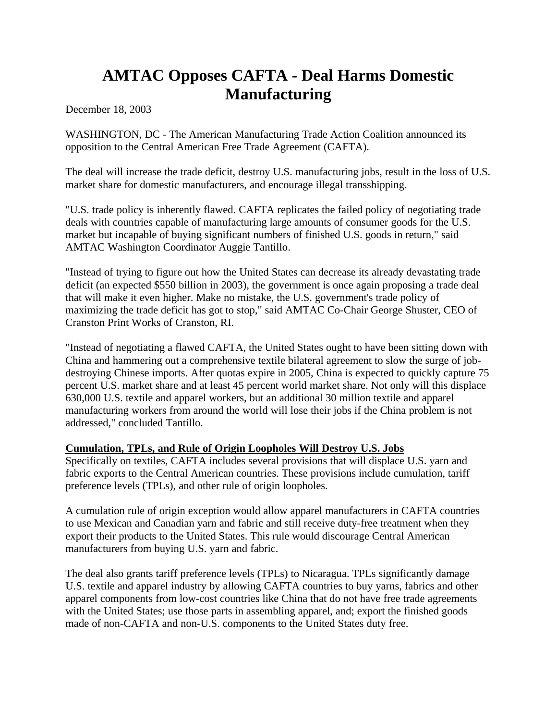## **AMTAC Opposes CAFTA - Deal Harms Domestic Manufacturing**

December 18, 2003

WASHINGTON, DC - The American Manufacturing Trade Action Coalition announced its opposition to the Central American Free Trade Agreement (CAFTA).

The deal will increase the trade deficit, destroy U.S. manufacturing jobs, result in the loss of U.S. market share for domestic manufacturers, and encourage illegal transshipping.

"U.S. trade policy is inherently flawed. CAFTA replicates the failed policy of negotiating trade deals with countries capable of manufacturing large amounts of consumer goods for the U.S. market but incapable of buying significant numbers of finished U.S. goods in return," said AMTAC Washington Coordinator Auggie Tantillo.

"Instead of trying to figure out how the United States can decrease its already devastating trade deficit (an expected \$550 billion in 2003), the government is once again proposing a trade deal that will make it even higher. Make no mistake, the U.S. government's trade policy of maximizing the trade deficit has got to stop," said AMTAC Co-Chair George Shuster, CEO of Cranston Print Works of Cranston, RI.

"Instead of negotiating a flawed CAFTA, the United States ought to have been sitting down with China and hammering out a comprehensive textile bilateral agreement to slow the surge of jobdestroying Chinese imports. After quotas expire in 2005, China is expected to quickly capture 75 percent U.S. market share and at least 45 percent world market share. Not only will this displace 630,000 U.S. textile and apparel workers, but an additional 30 million textile and apparel manufacturing workers from around the world will lose their jobs if the China problem is not addressed," concluded Tantillo.

## **Cumulation, TPLs, and Rule of Origin Loopholes Will Destroy U.S. Jobs**

Specifically on textiles, CAFTA includes several provisions that will displace U.S. yarn and fabric exports to the Central American countries. These provisions include cumulation, tariff preference levels (TPLs), and other rule of origin loopholes.

A cumulation rule of origin exception would allow apparel manufacturers in CAFTA countries to use Mexican and Canadian yarn and fabric and still receive duty-free treatment when they export their products to the United States. This rule would discourage Central American manufacturers from buying U.S. yarn and fabric.

The deal also grants tariff preference levels (TPLs) to Nicaragua. TPLs significantly damage U.S. textile and apparel industry by allowing CAFTA countries to buy yarns, fabrics and other apparel components from low-cost countries like China that do not have free trade agreements with the United States; use those parts in assembling apparel, and; export the finished goods made of non-CAFTA and non-U.S. components to the United States duty free.